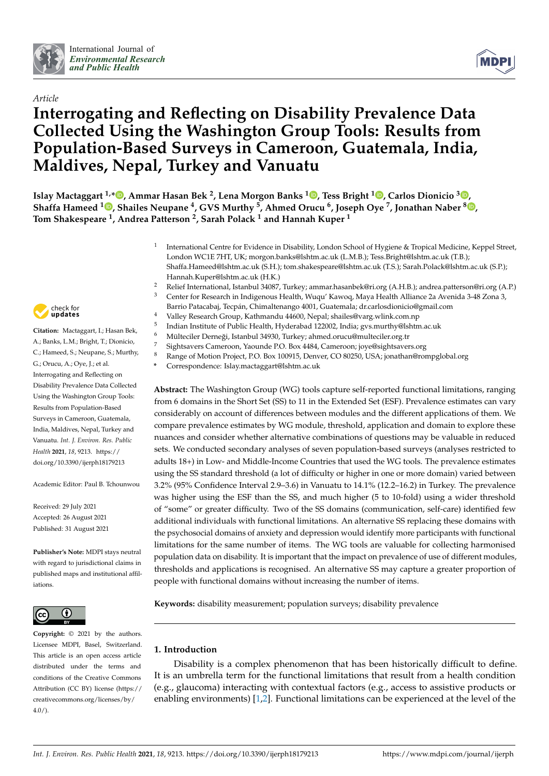

*Article*



# **Interrogating and Reflecting on Disability Prevalence Data Collected Using the Washington Group Tools: Results from Population-Based Surveys in Cameroon, Guatemala, India, Maldives, Nepal, Turkey and Vanuatu**

**Islay Mactaggart 1,[\\*](https://orcid.org/0000-0001-6287-0384) , Ammar Hasan Bek <sup>2</sup> , Lena Morgon Banks [1](https://orcid.org/0000-0002-4585-1103) , Tess Bright <sup>1</sup> [,](https://orcid.org/0000-0003-2079-7216) Carlos Dionicio [3](https://orcid.org/0000-0002-6069-7669) , Shaffa Hameed <sup>1</sup> [,](https://orcid.org/0000-0003-2723-1709) Shailes Neupane <sup>4</sup> , GVS Murthy <sup>5</sup> , Ahmed Orucu <sup>6</sup> , Joseph Oye <sup>7</sup> , Jonathan Naber <sup>8</sup> [,](https://orcid.org/0000-0003-4821-6030) Tom Shakespeare <sup>1</sup> , Andrea Patterson <sup>2</sup> , Sarah Polack <sup>1</sup> and Hannah Kuper <sup>1</sup>**

- 1 International Centre for Evidence in Disability, London School of Hygiene & Tropical Medicine, Keppel Street, London WC1E 7HT, UK; morgon.banks@lshtm.ac.uk (L.M.B.); Tess.Bright@lshtm.ac.uk (T.B.); Shaffa.Hameed@lshtm.ac.uk (S.H.); tom.shakespeare@lshtm.ac.uk (T.S.); Sarah.Polack@lshtm.ac.uk (S.P.); Hannah.Kuper@lshtm.ac.uk (H.K.)
- <sup>2</sup> Relief International, Istanbul 34087, Turkey; ammar.hasanbek@ri.org (A.H.B.); andrea.patterson@ri.org (A.P.) <sup>3</sup> Center for Research in Indigenous Health, Wuqu' Kawoq, Maya Health Alliance 2a Avenida 3-48 Zona 3,
- Barrio Patacabaj, Tecpán, Chimaltenango 4001, Guatemala; dr.carlosdionicio@gmail.com
- <sup>4</sup> Valley Research Group, Kathmandu 44600, Nepal; shailes@varg.wlink.com.np
- 5 Indian Institute of Public Health, Hyderabad 122002, India; gvs.murthy@lshtm.ac.uk
- <sup>6</sup> Mülteciler Derneği, Istanbul 34930, Turkey; ahmed.orucu@multeciler.org.tr<br> $\frac{7}{2}$  Sightscore Converges  $\frac{1}{2}$ Converges  $\frac{1}{2}$ Converges interactivitier.org.
- <sup>7</sup> Sightsavers Cameroon, Yaounde P.O. Box 4484, Cameroon; joye@sightsavers.org
- <sup>8</sup> Range of Motion Project, P.O. Box 100915, Denver, CO 80250, USA; jonathan@rompglobal.org
- **\*** Correspondence: Islay.mactaggart@lshtm.ac.uk

**Abstract:** The Washington Group (WG) tools capture self-reported functional limitations, ranging from 6 domains in the Short Set (SS) to 11 in the Extended Set (ESF). Prevalence estimates can vary considerably on account of differences between modules and the different applications of them. We compare prevalence estimates by WG module, threshold, application and domain to explore these nuances and consider whether alternative combinations of questions may be valuable in reduced sets. We conducted secondary analyses of seven population-based surveys (analyses restricted to adults 18+) in Low- and Middle-Income Countries that used the WG tools. The prevalence estimates using the SS standard threshold (a lot of difficulty or higher in one or more domain) varied between 3.2% (95% Confidence Interval 2.9–3.6) in Vanuatu to 14.1% (12.2–16.2) in Turkey. The prevalence was higher using the ESF than the SS, and much higher (5 to 10-fold) using a wider threshold of "some" or greater difficulty. Two of the SS domains (communication, self-care) identified few additional individuals with functional limitations. An alternative SS replacing these domains with the psychosocial domains of anxiety and depression would identify more participants with functional limitations for the same number of items. The WG tools are valuable for collecting harmonised population data on disability. It is important that the impact on prevalence of use of different modules, thresholds and applications is recognised. An alternative SS may capture a greater proportion of people with functional domains without increasing the number of items.

**Keywords:** disability measurement; population surveys; disability prevalence

# **1. Introduction**

Disability is a complex phenomenon that has been historically difficult to define. It is an umbrella term for the functional limitations that result from a health condition (e.g., glaucoma) interacting with contextual factors (e.g., access to assistive products or enabling environments) [\[1,](#page-12-0)[2\]](#page-12-1). Functional limitations can be experienced at the level of the



**Citation:** Mactaggart, I.; Hasan Bek, A.; Banks, L.M.; Bright, T.; Dionicio, C.; Hameed, S.; Neupane, S.; Murthy, G.; Orucu, A.; Oye, J.; et al. Interrogating and Reflecting on Disability Prevalence Data Collected Using the Washington Group Tools: Results from Population-Based Surveys in Cameroon, Guatemala, India, Maldives, Nepal, Turkey and Vanuatu. *Int. J. Environ. Res. Public Health* **2021**, *18*, 9213. [https://](https://doi.org/10.3390/ijerph18179213) [doi.org/10.3390/ijerph18179213](https://doi.org/10.3390/ijerph18179213)

Academic Editor: Paul B. Tchounwou

Received: 29 July 2021 Accepted: 26 August 2021 Published: 31 August 2021

**Publisher's Note:** MDPI stays neutral with regard to jurisdictional claims in published maps and institutional affiliations.



**Copyright:** © 2021 by the authors. Licensee MDPI, Basel, Switzerland. This article is an open access article distributed under the terms and conditions of the Creative Commons Attribution (CC BY) license (https:/[/](https://creativecommons.org/licenses/by/4.0/) [creativecommons.org/licenses/by/](https://creativecommons.org/licenses/by/4.0/)  $4.0/$ ).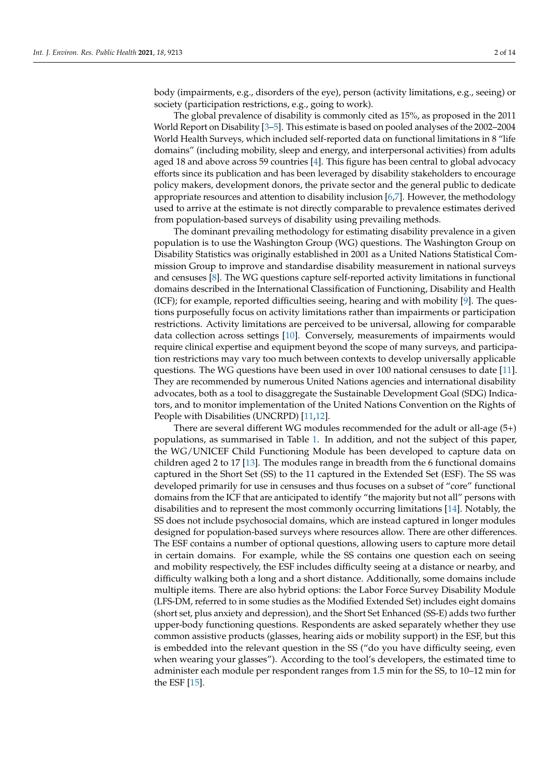body (impairments, e.g., disorders of the eye), person (activity limitations, e.g., seeing) or society (participation restrictions, e.g., going to work).

The global prevalence of disability is commonly cited as 15%, as proposed in the 2011 World Report on Disability [\[3–](#page-12-2)[5\]](#page-12-3). This estimate is based on pooled analyses of the 2002–2004 World Health Surveys, which included self-reported data on functional limitations in 8 "life domains" (including mobility, sleep and energy, and interpersonal activities) from adults aged 18 and above across 59 countries [\[4\]](#page-12-4). This figure has been central to global advocacy efforts since its publication and has been leveraged by disability stakeholders to encourage policy makers, development donors, the private sector and the general public to dedicate appropriate resources and attention to disability inclusion [\[6](#page-12-5)[,7\]](#page-12-6). However, the methodology used to arrive at the estimate is not directly comparable to prevalence estimates derived from population-based surveys of disability using prevailing methods.

The dominant prevailing methodology for estimating disability prevalence in a given population is to use the Washington Group (WG) questions. The Washington Group on Disability Statistics was originally established in 2001 as a United Nations Statistical Commission Group to improve and standardise disability measurement in national surveys and censuses [\[8\]](#page-12-7). The WG questions capture self-reported activity limitations in functional domains described in the International Classification of Functioning, Disability and Health (ICF); for example, reported difficulties seeing, hearing and with mobility [\[9\]](#page-12-8). The questions purposefully focus on activity limitations rather than impairments or participation restrictions. Activity limitations are perceived to be universal, allowing for comparable data collection across settings [\[10\]](#page-12-9). Conversely, measurements of impairments would require clinical expertise and equipment beyond the scope of many surveys, and participation restrictions may vary too much between contexts to develop universally applicable questions. The WG questions have been used in over 100 national censuses to date [\[11\]](#page-12-10). They are recommended by numerous United Nations agencies and international disability advocates, both as a tool to disaggregate the Sustainable Development Goal (SDG) Indicators, and to monitor implementation of the United Nations Convention on the Rights of People with Disabilities (UNCRPD) [\[11](#page-12-10)[,12\]](#page-12-11).

There are several different WG modules recommended for the adult or all-age (5+) populations, as summarised in Table [1.](#page-2-0) In addition, and not the subject of this paper, the WG/UNICEF Child Functioning Module has been developed to capture data on children aged 2 to 17 [\[13\]](#page-12-12). The modules range in breadth from the 6 functional domains captured in the Short Set (SS) to the 11 captured in the Extended Set (ESF). The SS was developed primarily for use in censuses and thus focuses on a subset of "core" functional domains from the ICF that are anticipated to identify "the majority but not all" persons with disabilities and to represent the most commonly occurring limitations [\[14\]](#page-12-13). Notably, the SS does not include psychosocial domains, which are instead captured in longer modules designed for population-based surveys where resources allow. There are other differences. The ESF contains a number of optional questions, allowing users to capture more detail in certain domains. For example, while the SS contains one question each on seeing and mobility respectively, the ESF includes difficulty seeing at a distance or nearby, and difficulty walking both a long and a short distance. Additionally, some domains include multiple items. There are also hybrid options: the Labor Force Survey Disability Module (LFS-DM, referred to in some studies as the Modified Extended Set) includes eight domains (short set, plus anxiety and depression), and the Short Set Enhanced (SS-E) adds two further upper-body functioning questions. Respondents are asked separately whether they use common assistive products (glasses, hearing aids or mobility support) in the ESF, but this is embedded into the relevant question in the SS ("do you have difficulty seeing, even when wearing your glasses"). According to the tool's developers, the estimated time to administer each module per respondent ranges from 1.5 min for the SS, to 10–12 min for the ESF [\[15\]](#page-12-14).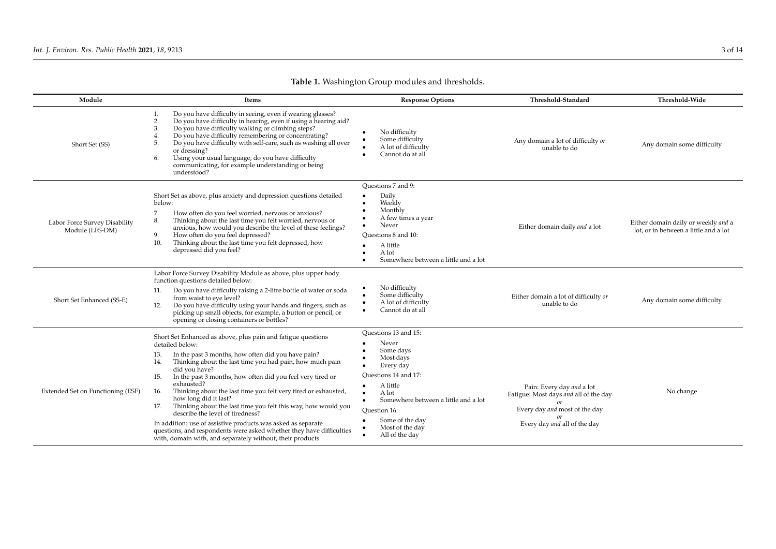<span id="page-2-0"></span>

| Module                                           | Items                                                                                                                                                                                                                                                                                                                                                                                                                                                                                                                                                                                                                                                                                                                                  | <b>Response Options</b>                                                                                                                                                                                                                        | Threshold-Standard                                                                                                                  | Threshold-Wide                                                               |
|--------------------------------------------------|----------------------------------------------------------------------------------------------------------------------------------------------------------------------------------------------------------------------------------------------------------------------------------------------------------------------------------------------------------------------------------------------------------------------------------------------------------------------------------------------------------------------------------------------------------------------------------------------------------------------------------------------------------------------------------------------------------------------------------------|------------------------------------------------------------------------------------------------------------------------------------------------------------------------------------------------------------------------------------------------|-------------------------------------------------------------------------------------------------------------------------------------|------------------------------------------------------------------------------|
| Short Set (SS)                                   | Do you have difficulty in seeing, even if wearing glasses?<br>1.<br>Do you have difficulty in hearing, even if using a hearing aid?<br>2.<br>Do you have difficulty walking or climbing steps?<br>3.<br>Do you have difficulty remembering or concentrating?<br>Do you have difficulty with self-care, such as washing all over<br>5.<br>or dressing?<br>Using your usual language, do you have difficulty<br>6.<br>communicating, for example understanding or being<br>understood?                                                                                                                                                                                                                                                   | No difficulty<br>Some difficulty<br>A lot of difficulty<br>Cannot do at all<br>$\bullet$                                                                                                                                                       | Any domain a lot of difficulty or<br>unable to do                                                                                   | Any domain some difficulty                                                   |
| Labor Force Survey Disability<br>Module (LFS-DM) | Short Set as above, plus anxiety and depression questions detailed<br>below:<br>How often do you feel worried, nervous or anxious?<br>7.<br>Thinking about the last time you felt worried, nervous or<br>8.<br>anxious, how would you describe the level of these feelings?<br>How often do you feel depressed?<br>9.<br>10.<br>Thinking about the last time you felt depressed, how<br>depressed did you feel?                                                                                                                                                                                                                                                                                                                        | Ouestions 7 and 9:<br>Daily<br>Weekly<br>Monthly<br>A few times a year<br>Never<br>$\bullet$<br>Ouestions 8 and 10:<br>A little<br>A lot<br>Somewhere between a little and a lot                                                               | Either domain daily and a lot                                                                                                       | Either domain daily or weekly and a<br>lot, or in between a little and a lot |
| Short Set Enhanced (SS-E)                        | Labor Force Survey Disability Module as above, plus upper body<br>function questions detailed below:<br>Do you have difficulty raising a 2-litre bottle of water or soda<br>11.<br>from waist to eye level?<br>Do you have difficulty using your hands and fingers, such as<br>12.<br>picking up small objects, for example, a button or pencil, or<br>opening or closing containers or bottles?                                                                                                                                                                                                                                                                                                                                       | No difficulty<br>Some difficulty<br>A lot of difficulty<br>$\bullet$<br>Cannot do at all                                                                                                                                                       | Either domain a lot of difficulty or<br>unable to do                                                                                | Any domain some difficulty                                                   |
| Extended Set on Functioning (ESF)                | Short Set Enhanced as above, plus pain and fatigue questions<br>detailed below:<br>In the past 3 months, how often did you have pain?<br>13.<br>Thinking about the last time you had pain, how much pain<br>14.<br>did you have?<br>In the past 3 months, how often did you feel very tired or<br>15.<br>exhausted?<br>Thinking about the last time you felt very tired or exhausted,<br>16.<br>how long did it last?<br>Thinking about the last time you felt this way, how would you<br>17.<br>describe the level of tiredness?<br>In addition: use of assistive products was asked as separate<br>questions, and respondents were asked whether they have difficulties<br>with, domain with, and separately without, their products | Ouestions 13 and 15:<br>Never<br>Some days<br>Most days<br>Every day<br>Questions 14 and 17:<br>A little<br>A lot<br>$\bullet$<br>Somewhere between a little and a lot<br>Question 16:<br>Some of the day<br>Most of the day<br>All of the day | Pain: Every day and a lot<br>Fatigue: Most days and all of the day<br>Every day and most of the day<br>Every day and all of the day | No change                                                                    |

# **Table 1.** Washington Group modules and thresholds.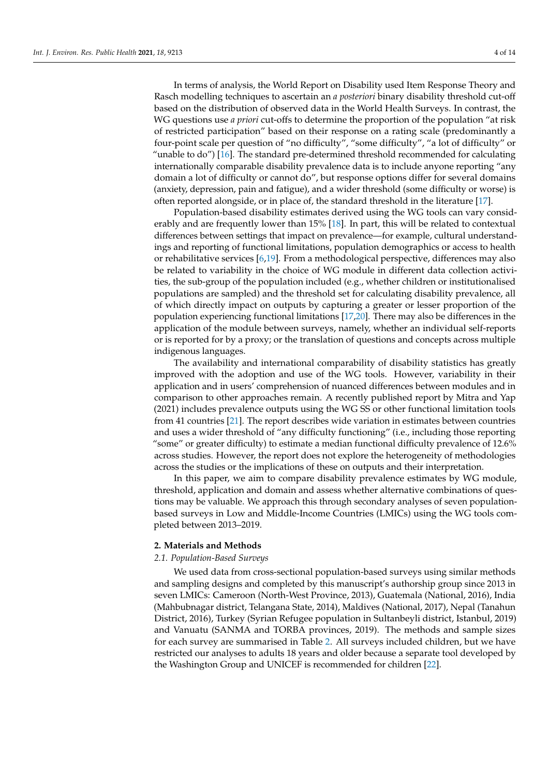In terms of analysis, the World Report on Disability used Item Response Theory and Rasch modelling techniques to ascertain an *a posteriori* binary disability threshold cut-off based on the distribution of observed data in the World Health Surveys. In contrast, the WG questions use *a priori* cut-offs to determine the proportion of the population "at risk of restricted participation" based on their response on a rating scale (predominantly a four-point scale per question of "no difficulty", "some difficulty", "a lot of difficulty" or "unable to do") [\[16\]](#page-12-15). The standard pre-determined threshold recommended for calculating internationally comparable disability prevalence data is to include anyone reporting "any domain a lot of difficulty or cannot do", but response options differ for several domains (anxiety, depression, pain and fatigue), and a wider threshold (some difficulty or worse) is often reported alongside, or in place of, the standard threshold in the literature [\[17\]](#page-12-16).

Population-based disability estimates derived using the WG tools can vary considerably and are frequently lower than 15% [\[18\]](#page-12-17). In part, this will be related to contextual differences between settings that impact on prevalence—for example, cultural understandings and reporting of functional limitations, population demographics or access to health or rehabilitative services [\[6](#page-12-5)[,19\]](#page-12-18). From a methodological perspective, differences may also be related to variability in the choice of WG module in different data collection activities, the sub-group of the population included (e.g., whether children or institutionalised populations are sampled) and the threshold set for calculating disability prevalence, all of which directly impact on outputs by capturing a greater or lesser proportion of the population experiencing functional limitations [\[17,](#page-12-16)[20\]](#page-12-19). There may also be differences in the application of the module between surveys, namely, whether an individual self-reports or is reported for by a proxy; or the translation of questions and concepts across multiple indigenous languages.

The availability and international comparability of disability statistics has greatly improved with the adoption and use of the WG tools. However, variability in their application and in users' comprehension of nuanced differences between modules and in comparison to other approaches remain. A recently published report by Mitra and Yap (2021) includes prevalence outputs using the WG SS or other functional limitation tools from 41 countries [\[21\]](#page-12-20). The report describes wide variation in estimates between countries and uses a wider threshold of "any difficulty functioning" (i.e., including those reporting "some" or greater difficulty) to estimate a median functional difficulty prevalence of 12.6% across studies. However, the report does not explore the heterogeneity of methodologies across the studies or the implications of these on outputs and their interpretation.

In this paper, we aim to compare disability prevalence estimates by WG module, threshold, application and domain and assess whether alternative combinations of questions may be valuable. We approach this through secondary analyses of seven populationbased surveys in Low and Middle-Income Countries (LMICs) using the WG tools completed between 2013–2019.

#### **2. Materials and Methods**

#### *2.1. Population-Based Surveys*

We used data from cross-sectional population-based surveys using similar methods and sampling designs and completed by this manuscript's authorship group since 2013 in seven LMICs: Cameroon (North-West Province, 2013), Guatemala (National, 2016), India (Mahbubnagar district, Telangana State, 2014), Maldives (National, 2017), Nepal (Tanahun District, 2016), Turkey (Syrian Refugee population in Sultanbeyli district, Istanbul, 2019) and Vanuatu (SANMA and TORBA provinces, 2019). The methods and sample sizes for each survey are summarised in Table [2.](#page-4-0) All surveys included children, but we have restricted our analyses to adults 18 years and older because a separate tool developed by the Washington Group and UNICEF is recommended for children [\[22\]](#page-12-21).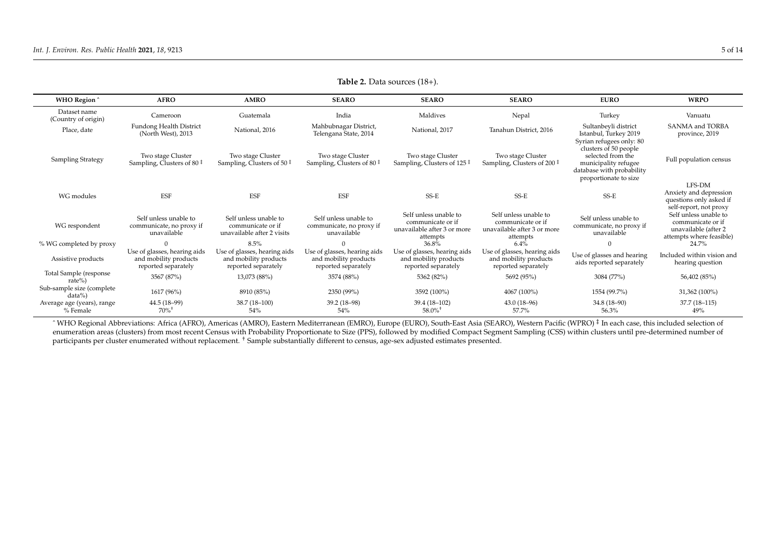| <b>WHO Region</b> ^                    | <b>AFRO</b>                                                                  | <b>AMRO</b>                                                                  | <b>SEARO</b>                                                                 | <b>SEARO</b>                                                                          | <b>SEARO</b>                                                                          | <b>EURO</b>                                                                                                                                          | <b>WRPO</b>                                                                                    |
|----------------------------------------|------------------------------------------------------------------------------|------------------------------------------------------------------------------|------------------------------------------------------------------------------|---------------------------------------------------------------------------------------|---------------------------------------------------------------------------------------|------------------------------------------------------------------------------------------------------------------------------------------------------|------------------------------------------------------------------------------------------------|
| Dataset name<br>(Country of origin)    | Cameroon                                                                     | Guatemala                                                                    | India                                                                        | Maldives                                                                              | Nepal                                                                                 | Turkey                                                                                                                                               | Vanuatu                                                                                        |
| Place, date                            | Fundong Health District<br>(North West), 2013                                | National, 2016                                                               | Mahbubnagar District,<br>Telengana State, 2014                               | National, 2017                                                                        | Tanahun District, 2016                                                                | Sultanbeyli district<br>Istanbul, Turkey 2019                                                                                                        | SANMA and TORBA<br>province, 2019                                                              |
| Sampling Strategy                      | Two stage Cluster<br>Sampling, Clusters of 80 $‡$                            | Two stage Cluster<br>Sampling, Clusters of 50 $\pm$                          | Two stage Cluster<br>Sampling, Clusters of 80 $\pm$                          | Two stage Cluster<br>Sampling, Clusters of 125 <sup>‡</sup>                           | Two stage Cluster<br>Sampling, Clusters of 200 $\pm$                                  | Syrian refugees only: 80<br>clusters of 50 people<br>selected from the<br>municipality refugee<br>database with probability<br>proportionate to size | Full population census                                                                         |
| WG modules                             | ESF                                                                          | <b>ESF</b>                                                                   | <b>ESF</b>                                                                   | $SS-E$                                                                                | $SS-E$                                                                                | SS-E                                                                                                                                                 | LFS-DM<br>Anxiety and depression<br>questions only asked if<br>self-report, not proxy          |
| WG respondent                          | Self unless unable to<br>communicate, no proxy if<br>unavailable             | Self unless unable to<br>communicate or if<br>unavailable after 2 visits     | Self unless unable to<br>communicate, no proxy if<br>unavailable             | Self unless unable to<br>communicate or if<br>unavailable after 3 or more<br>attempts | Self unless unable to<br>communicate or if<br>unavailable after 3 or more<br>attempts | Self unless unable to<br>communicate, no proxy if<br>unavailable                                                                                     | Self unless unable to<br>communicate or if<br>unavailable (after 2<br>attempts where feasible) |
| % WG completed by proxy                |                                                                              | 8.5%                                                                         |                                                                              | 36.8%                                                                                 | 6.4%                                                                                  |                                                                                                                                                      | 24.7%                                                                                          |
| Assistive products                     | Use of glasses, hearing aids<br>and mobility products<br>reported separately | Use of glasses, hearing aids<br>and mobility products<br>reported separately | Use of glasses, hearing aids<br>and mobility products<br>reported separately | Use of glasses, hearing aids<br>and mobility products<br>reported separately          | Use of glasses, hearing aids<br>and mobility products<br>reported separately          | Use of glasses and hearing<br>aids reported separately                                                                                               | Included within vision and<br>hearing question                                                 |
| Total Sample (response<br>rate%)       | 3567 (87%)                                                                   | 13,073 (88%)                                                                 | 3574 (88%)                                                                   | 5362 (82%)                                                                            | 5692 (95%)                                                                            | 3084 (77%)                                                                                                                                           | 56,402 (85%)                                                                                   |
| Sub-sample size (complete<br>$data\%$  | 1617 (96%)                                                                   | 8910 (85%)                                                                   | 2350 (99%)                                                                   | 3592 (100%)                                                                           | 4067 (100%)                                                                           | 1554 (99.7%)                                                                                                                                         | 31,362 (100%)                                                                                  |
| Average age (years), range<br>% Female | 44.5 (18-99)<br>70%                                                          | 38.7 (18-100)<br>54%                                                         | $39.2(18-98)$<br>54%                                                         | 39.4 (18-102)<br>$58.0\%$ <sup>+</sup>                                                | $43.0(18-96)$<br>57.7%                                                                | 34.8 (18-90)<br>56.3%                                                                                                                                | $37.7(18 - 115)$<br>49%                                                                        |

**Table 2.** Data sources (18+).

<span id="page-4-0"></span>ˆ WHO Regional Abbreviations: Africa (AFRO), Americas (AMRO), Eastern Mediterranean (EMRO), Europe (EURO), South-East Asia (SEARO), Western Pacific (WPRO) ‡ In each case, this included selection of enumeration areas (clusters) from most recent Census with Probability Proportionate to Size (PPS), followed by modified Compact Segment Sampling (CSS) within clusters until pre-determined number of participants per cluster enumerated without replacement. † Sample substantially different to census, age-sex adjusted estimates presented.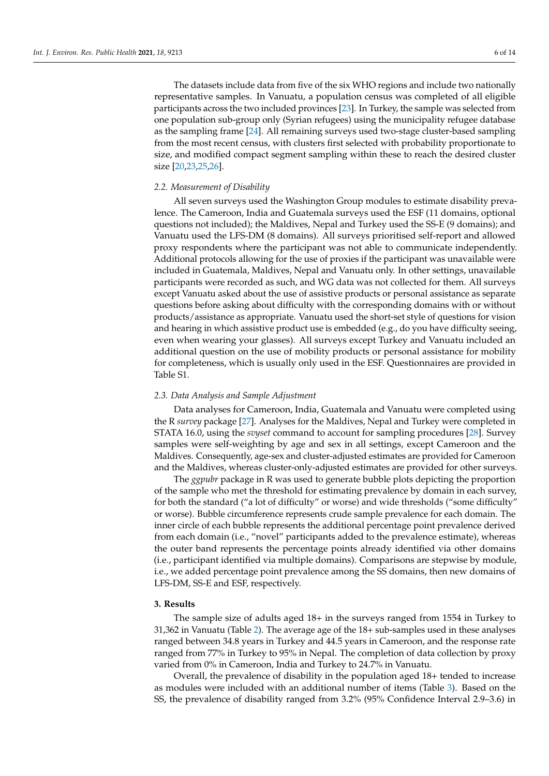The datasets include data from five of the six WHO regions and include two nationally representative samples. In Vanuatu, a population census was completed of all eligible participants across the two included provinces [\[23\]](#page-12-22). In Turkey, the sample was selected from one population sub-group only (Syrian refugees) using the municipality refugee database as the sampling frame [\[24\]](#page-12-23). All remaining surveys used two-stage cluster-based sampling from the most recent census, with clusters first selected with probability proportionate to size, and modified compact segment sampling within these to reach the desired cluster size [\[20](#page-12-19)[,23](#page-12-22)[,25](#page-13-0)[,26\]](#page-13-1).

## *2.2. Measurement of Disability*

All seven surveys used the Washington Group modules to estimate disability prevalence. The Cameroon, India and Guatemala surveys used the ESF (11 domains, optional questions not included); the Maldives, Nepal and Turkey used the SS-E (9 domains); and Vanuatu used the LFS-DM (8 domains). All surveys prioritised self-report and allowed proxy respondents where the participant was not able to communicate independently. Additional protocols allowing for the use of proxies if the participant was unavailable were included in Guatemala, Maldives, Nepal and Vanuatu only. In other settings, unavailable participants were recorded as such, and WG data was not collected for them. All surveys except Vanuatu asked about the use of assistive products or personal assistance as separate questions before asking about difficulty with the corresponding domains with or without products/assistance as appropriate. Vanuatu used the short-set style of questions for vision and hearing in which assistive product use is embedded (e.g., do you have difficulty seeing, even when wearing your glasses). All surveys except Turkey and Vanuatu included an additional question on the use of mobility products or personal assistance for mobility for completeness, which is usually only used in the ESF. Questionnaires are provided in Table S1.

#### *2.3. Data Analysis and Sample Adjustment*

Data analyses for Cameroon, India, Guatemala and Vanuatu were completed using the R *survey* package [\[27\]](#page-13-2). Analyses for the Maldives, Nepal and Turkey were completed in STATA 16.0, using the *svyset* command to account for sampling procedures [\[28\]](#page-13-3). Survey samples were self-weighting by age and sex in all settings, except Cameroon and the Maldives. Consequently, age-sex and cluster-adjusted estimates are provided for Cameroon and the Maldives, whereas cluster-only-adjusted estimates are provided for other surveys.

The *ggpubr* package in R was used to generate bubble plots depicting the proportion of the sample who met the threshold for estimating prevalence by domain in each survey, for both the standard ("a lot of difficulty" or worse) and wide thresholds ("some difficulty" or worse). Bubble circumference represents crude sample prevalence for each domain. The inner circle of each bubble represents the additional percentage point prevalence derived from each domain (i.e., "novel" participants added to the prevalence estimate), whereas the outer band represents the percentage points already identified via other domains (i.e., participant identified via multiple domains). Comparisons are stepwise by module, i.e., we added percentage point prevalence among the SS domains, then new domains of LFS-DM, SS-E and ESF, respectively.

# **3. Results**

The sample size of adults aged 18+ in the surveys ranged from 1554 in Turkey to 31,362 in Vanuatu (Table [2\)](#page-4-0). The average age of the 18+ sub-samples used in these analyses ranged between 34.8 years in Turkey and 44.5 years in Cameroon, and the response rate ranged from 77% in Turkey to 95% in Nepal. The completion of data collection by proxy varied from 0% in Cameroon, India and Turkey to 24.7% in Vanuatu.

Overall, the prevalence of disability in the population aged 18+ tended to increase as modules were included with an additional number of items (Table [3\)](#page-6-0). Based on the SS, the prevalence of disability ranged from 3.2% (95% Confidence Interval 2.9–3.6) in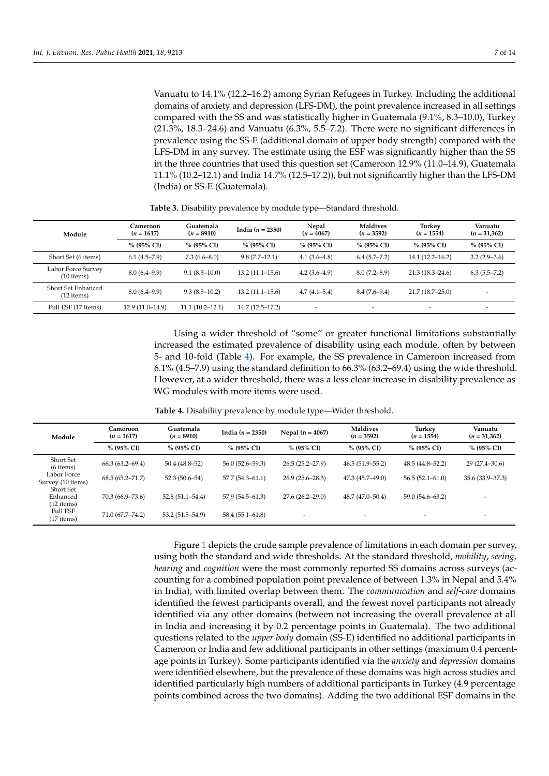Vanuatu to 14.1% (12.2–16.2) among Syrian Refugees in Turkey. Including the additional domains of anxiety and depression (LFS-DM), the point prevalence increased in all settings compared with the SS and was statistically higher in Guatemala (9.1%, 8.3–10.0), Turkey  $(21.3\%, 18.3-24.6)$  and Vanuatu  $(6.3\%, 5.5-7.2)$ . There were no significant differences in prevalence using the SS-E (additional domain of upper body strength) compared with the LFS-DM in any survey. The estimate using the ESF was significantly higher than the SS in the three countries that used this question set (Cameroon 12.9% (11.0–14.9), Guatemala 11.1% (10.2–12.1) and India 14.7% (12.5–17.2)), but not significantly higher than the LFS-DM (India) or SS-E (Guatemala).

<span id="page-6-0"></span>

| Module                             | Cameroon<br>$(n = 1617)$ | Guatemala<br>$(n = 8910)$ | India $(n = 2350)$  | Nepal<br>$(n = 4067)$ | <b>Maldives</b><br>$(n = 3592)$ | Turkey<br>$(n = 1554)$   | Vanuatu<br>$(n = 31,362)$ |
|------------------------------------|--------------------------|---------------------------|---------------------|-----------------------|---------------------------------|--------------------------|---------------------------|
|                                    | % (95% CI)               | % (95% CI)                | % (95% CI)          | % (95% CI)            | % (95% CI)                      | % (95% CI)               | % (95% CI)                |
| Short Set (6 items)                | $6.1(4.5-7.9)$           | $7.3(6.6 - 8.0)$          | $9.8(7.7-12.1)$     | $4.1(3.6-4.8)$        | 6.4(5.7–7.2)                    | $14.1(12.2 - 16.2)$      | $3.2(2.9-3.6)$            |
| Labor Force Survey<br>$(10$ items) | $8.0(6.4 - 9.9)$         | $9.1(8.3-10.0)$           | $13.2(11.1 - 15.6)$ | $4.2(3.6-4.9)$        | $8.0(7.2 - 8.9)$                | $21.3(18.3 - 24.6)$      | $6.3(5.5 - 7.2)$          |
| Short Set Enhanced<br>$(12$ items) | $8.0(6.4 - 9.9)$         | $9.3(8.5-10.2)$           | $13.2(11.1 - 15.6)$ | $4.7(4.1 - 5.4)$      | $8.4(7.6-9.4)$                  | $21.7(18.7 - 25.0)$      | $\overline{\phantom{a}}$  |
| Full ESF (17 items)                | 12.9 (11.0–14.9)         | 11.1(10.2–12.1)           | $14.7(12.5 - 17.2)$ |                       | $\overline{\phantom{0}}$        | $\overline{\phantom{a}}$ | $\overline{\phantom{a}}$  |

**Table 3.** Disability prevalence by module type—Standard threshold.

Using a wider threshold of "some" or greater functional limitations substantially increased the estimated prevalence of disability using each module, often by between 5- and 10-fold (Table [4\)](#page-6-1). For example, the SS prevalence in Cameroon increased from 6.1% (4.5–7.9) using the standard definition to 66.3% (63.2–69.4) using the wide threshold. However, at a wider threshold, there was a less clear increase in disability prevalence as WG modules with more items were used.

<span id="page-6-1"></span>

| Module                                        | Cameroon<br>$(n = 1617)$ | Guatemala<br>$(n = 8910)$ | India $(n = 2350)$  | Nepal $(n = 4067)$       | <b>Maldives</b><br>$(n = 3592)$ | Turkey<br>$(n = 1554)$   | Vanuatu<br>$(n = 31,362)$ |
|-----------------------------------------------|--------------------------|---------------------------|---------------------|--------------------------|---------------------------------|--------------------------|---------------------------|
|                                               | % (95% CI)               | % (95% CI)                | % (95% CI)          | % (95% CI)               | % (95% CI)                      | % (95% CI)               | % (95% CI)                |
| Short Set<br>$(6$ items)                      | $66.3(63.2 - 69.4)$      | $50.4(48.8-52)$           | $56.0(52.6 - 59.3)$ | $26.5(25.2 - 27.9)$      | $46.5(51.9 - 55.2)$             | $48.5(44.8 - 52.2)$      | $29(27.4 - 30.6)$         |
| Labor Force<br>Survey (10 items)              | $68.5(65.2 - 71.7)$      | $52.3(50.6 - 54)$         | $57.7(54.3 - 61.1)$ | $26.9(25.6 - 28.3)$      | $47.3(45.7 - 49.0)$             | $56.5(52.1 - 61.0)$      | $35.6(33.9 - 37.3)$       |
| Short Set<br>Enhanced<br>$(12 \text{ items})$ | 70.3 (66.9–73.6)         | $52.8(51.1 - 54.4)$       | 57.9 (54.5-61.3)    | $27.6(26.2 - 29.0)$      | $48.7(47.0 - 50.4)$             | $59.0(54.6 - 63.2)$      |                           |
| <b>Full ESF</b><br>$(17$ items)               | 71.0 (67.7–74.2)         | $53.2(51.5 - 54.9)$       | $58.4(55.1 - 61.8)$ | $\overline{\phantom{0}}$ | $\overline{\phantom{0}}$        | $\overline{\phantom{a}}$ | $\overline{\phantom{a}}$  |

**Table 4.** Disability prevalence by module type—Wider threshold.

Figure [1](#page-7-0) depicts the crude sample prevalence of limitations in each domain per survey, using both the standard and wide thresholds. At the standard threshold, *mobility*, *seeing, hearing* and *cognition* were the most commonly reported SS domains across surveys (accounting for a combined population point prevalence of between 1.3% in Nepal and 5.4% in India), with limited overlap between them. The *communication* and *self-care* domains identified the fewest participants overall, and the fewest novel participants not already identified via any other domains (between not increasing the overall prevalence at all in India and increasing it by 0.2 percentage points in Guatemala). The two additional questions related to the *upper body* domain (SS-E) identified no additional participants in Cameroon or India and few additional participants in other settings (maximum 0.4 percentage points in Turkey). Some participants identified via the *anxiety* and *depression* domains were identified elsewhere, but the prevalence of these domains was high across studies and identified particularly high numbers of additional participants in Turkey (4.9 percentage points combined across the two domains). Adding the two additional ESF domains in the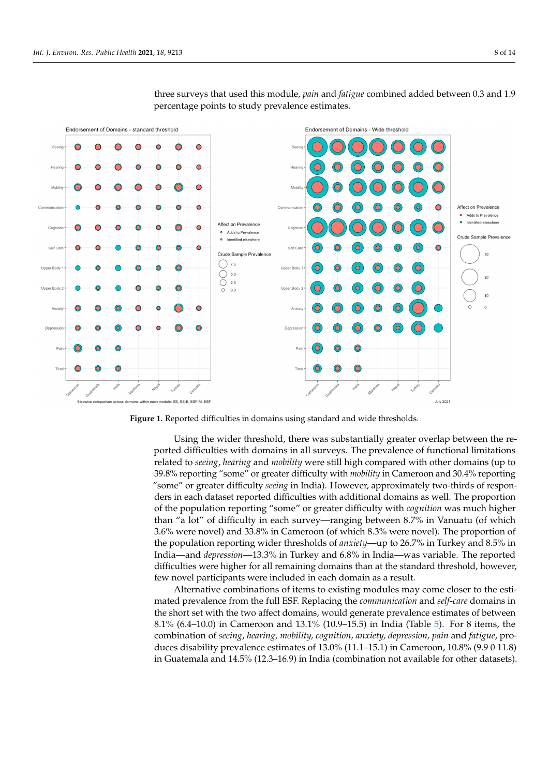<span id="page-7-0"></span>

three surveys that used this module, *pain* and *fatigue* combined added between 0.3 and 1.9 percentage points to study prevalence estimates. percentage points combined across the two domains). Adding the two additional ESF domains in the three surveys that used this module, *pain* and *fatigue* combined added be-

**Figure 1.** Reported difficulties in domains using standard and wide thresholds. **Figure 1.** Reported difficulties in domains using standard and wide thresholds.

Using the wider threshold, there was substantially greater overlap between the re-Using the wider threshold, there was substantially greater overlap between the reported difficulties with domains in all surveys. The prevalence of functional limitations ported difficulties with domains in all surveys. The prevalence of functional limitations related to *seeing*, *hearing* and *mobility* were still high compared with other domains (up to related to *seeing*, *hearing* and *mobility* were still high compared with other domains (up to 39.8% reporting "some" or greater difficulty with *mobility* in Cameroon and 30.4% reporting "some" or greater difficulty *seeing* in India). However, approximately two-thirds of responders in each dataset reported difficulties with additional domains as well. The proportion of the population reporting "some" or greater difficulty with *cognition* was much higher than "a lot" of difficulty in each survey—ranging between 8.7% in Vanuatu (of which 3.6% were novel) and 33.8% in Cameroon (of which 8.3% were novel). The proportion of the population reporting wider thresholds of *anxiety*—up to 26.7% in Turkey and 8.5% in India—and *depression*—13.3% in Turkey and 6.8% in India—was variable. The reported difficulties were higher for all remaining domains than at the standard threshold, however, few novel participants were included in each domain as a result.

Alternative combinations of items to existing modules may come closer to the esti-Alternative combinations of items to existing modules may come closer to the estimated prevalence from the full ESF. Replacing the *communication* and *self-care* domains in mated prevalence from the full ESF. Replacing the *communication* and *self-care* domains in the short set with the two affect domains, would generate prevalence estimates of between the short set with the two affect domains, would generate prevalence estimates of between 8.1% (6.4–10.0) in Cameroon and 13.1% (10.9–15.5) in India (Table 5). F[or](#page-8-0) 8 items, the combination of seeing, hearing, mobility, cognition, anxiety, depression, pain and fatigue, produces disability prevalence estimates of 13.0% (11.1–15.1) in Cameroon, 10.8% (9.9 0 11.8) in Guatemala and 14.5% (12.3-16.9) in India (combination not available for other datasets).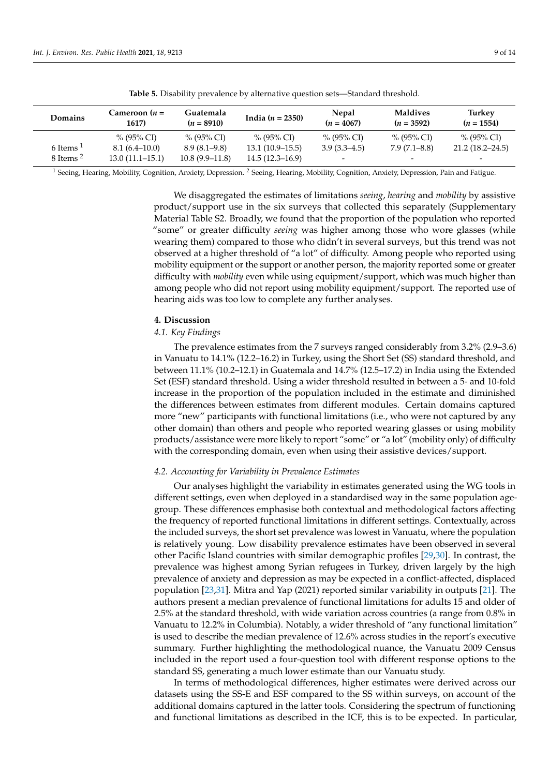<span id="page-8-0"></span>

| <b>Domains</b>       | Cameroon ( <i>n</i> =<br>1617) | Guatemala<br>$(n = 8910)$ | India $(n = 2350)$  | <b>Nepal</b><br>$(n = 4067)$ | <b>Maldives</b><br>$(n = 3592)$ | Turkey<br>$(n = 1554)$   |
|----------------------|--------------------------------|---------------------------|---------------------|------------------------------|---------------------------------|--------------------------|
|                      | % (95% CI)                     | % (95% CI)                | % (95% CI)          | % (95% CI)                   | % (95% CI)                      | % (95% CI)               |
| 6 Items              | $8.1(6.4-10.0)$                | $8.9(8.1 - 9.8)$          | $13.1(10.9-15.5)$   | $3.9(3.3-4.5)$               | $7.9(7.1 - 8.8)$                | $21.2(18.2 - 24.5)$      |
| 8 Items <sup>2</sup> | $13.0(11.1 - 15.1)$            | $10.8(9.9-11.8)$          | $14.5(12.3 - 16.9)$ | $\overline{\phantom{0}}$     | -                               | $\overline{\phantom{0}}$ |

**Table 5.** Disability prevalence by alternative question sets—Standard threshold.

<sup>1</sup> Seeing, Hearing, Mobility, Cognition, Anxiety, Depression. <sup>2</sup> Seeing, Hearing, Mobility, Cognition, Anxiety, Depression, Pain and Fatigue.

We disaggregated the estimates of limitations *seeing*, *hearing* and *mobility* by assistive product/support use in the six surveys that collected this separately (Supplementary Material Table S2. Broadly, we found that the proportion of the population who reported "some" or greater difficulty *seeing* was higher among those who wore glasses (while wearing them) compared to those who didn't in several surveys, but this trend was not observed at a higher threshold of "a lot" of difficulty. Among people who reported using mobility equipment or the support or another person, the majority reported some or greater difficulty with *mobility* even while using equipment/support, which was much higher than among people who did not report using mobility equipment/support. The reported use of hearing aids was too low to complete any further analyses.

#### **4. Discussion**

#### *4.1. Key Findings*

The prevalence estimates from the 7 surveys ranged considerably from 3.2% (2.9–3.6) in Vanuatu to 14.1% (12.2–16.2) in Turkey, using the Short Set (SS) standard threshold, and between 11.1% (10.2–12.1) in Guatemala and 14.7% (12.5–17.2) in India using the Extended Set (ESF) standard threshold. Using a wider threshold resulted in between a 5- and 10-fold increase in the proportion of the population included in the estimate and diminished the differences between estimates from different modules. Certain domains captured more "new" participants with functional limitations (i.e., who were not captured by any other domain) than others and people who reported wearing glasses or using mobility products/assistance were more likely to report "some" or "a lot" (mobility only) of difficulty with the corresponding domain, even when using their assistive devices/support.

# *4.2. Accounting for Variability in Prevalence Estimates*

Our analyses highlight the variability in estimates generated using the WG tools in different settings, even when deployed in a standardised way in the same population agegroup. These differences emphasise both contextual and methodological factors affecting the frequency of reported functional limitations in different settings. Contextually, across the included surveys, the short set prevalence was lowest in Vanuatu, where the population is relatively young. Low disability prevalence estimates have been observed in several other Pacific Island countries with similar demographic profiles [\[29](#page-13-4)[,30\]](#page-13-5). In contrast, the prevalence was highest among Syrian refugees in Turkey, driven largely by the high prevalence of anxiety and depression as may be expected in a conflict-affected, displaced population [\[23,](#page-12-22)[31\]](#page-13-6). Mitra and Yap (2021) reported similar variability in outputs [\[21\]](#page-12-20). The authors present a median prevalence of functional limitations for adults 15 and older of 2.5% at the standard threshold, with wide variation across countries (a range from 0.8% in Vanuatu to 12.2% in Columbia). Notably, a wider threshold of "any functional limitation" is used to describe the median prevalence of 12.6% across studies in the report's executive summary. Further highlighting the methodological nuance, the Vanuatu 2009 Census included in the report used a four-question tool with different response options to the standard SS, generating a much lower estimate than our Vanuatu study.

In terms of methodological differences, higher estimates were derived across our datasets using the SS-E and ESF compared to the SS within surveys, on account of the additional domains captured in the latter tools. Considering the spectrum of functioning and functional limitations as described in the ICF, this is to be expected. In particular,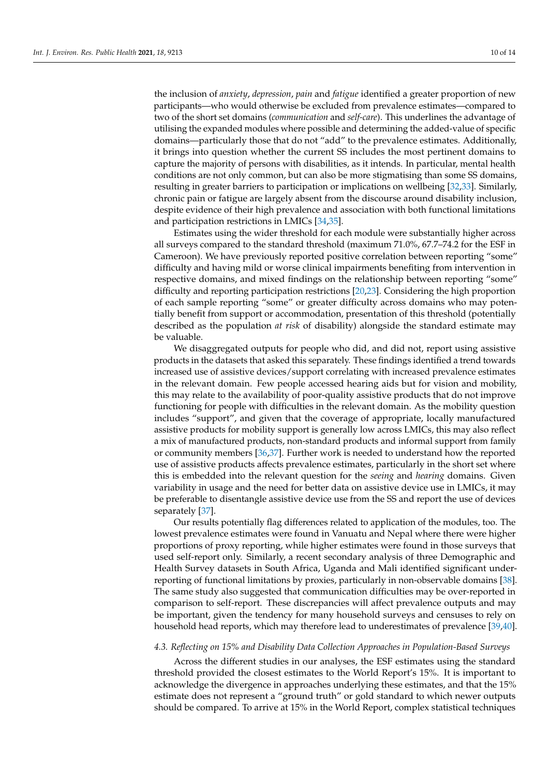the inclusion of *anxiety*, *depression*, *pain* and *fatigue* identified a greater proportion of new participants—who would otherwise be excluded from prevalence estimates—compared to two of the short set domains (*communication* and *self-care*). This underlines the advantage of utilising the expanded modules where possible and determining the added-value of specific domains—particularly those that do not "add" to the prevalence estimates. Additionally, it brings into question whether the current SS includes the most pertinent domains to capture the majority of persons with disabilities, as it intends. In particular, mental health conditions are not only common, but can also be more stigmatising than some SS domains, resulting in greater barriers to participation or implications on wellbeing [\[32](#page-13-7)[,33\]](#page-13-8). Similarly, chronic pain or fatigue are largely absent from the discourse around disability inclusion, despite evidence of their high prevalence and association with both functional limitations and participation restrictions in LMICs [\[34](#page-13-9)[,35\]](#page-13-10).

Estimates using the wider threshold for each module were substantially higher across all surveys compared to the standard threshold (maximum 71.0%, 67.7–74.2 for the ESF in Cameroon). We have previously reported positive correlation between reporting "some" difficulty and having mild or worse clinical impairments benefiting from intervention in respective domains, and mixed findings on the relationship between reporting "some" difficulty and reporting participation restrictions [\[20](#page-12-19)[,23\]](#page-12-22). Considering the high proportion of each sample reporting "some" or greater difficulty across domains who may potentially benefit from support or accommodation, presentation of this threshold (potentially described as the population *at risk* of disability) alongside the standard estimate may be valuable.

We disaggregated outputs for people who did, and did not, report using assistive products in the datasets that asked this separately. These findings identified a trend towards increased use of assistive devices/support correlating with increased prevalence estimates in the relevant domain. Few people accessed hearing aids but for vision and mobility, this may relate to the availability of poor-quality assistive products that do not improve functioning for people with difficulties in the relevant domain. As the mobility question includes "support", and given that the coverage of appropriate, locally manufactured assistive products for mobility support is generally low across LMICs, this may also reflect a mix of manufactured products, non-standard products and informal support from family or community members [\[36](#page-13-11)[,37\]](#page-13-12). Further work is needed to understand how the reported use of assistive products affects prevalence estimates, particularly in the short set where this is embedded into the relevant question for the *seeing* and *hearing* domains. Given variability in usage and the need for better data on assistive device use in LMICs, it may be preferable to disentangle assistive device use from the SS and report the use of devices separately [\[37\]](#page-13-12).

Our results potentially flag differences related to application of the modules, too. The lowest prevalence estimates were found in Vanuatu and Nepal where there were higher proportions of proxy reporting, while higher estimates were found in those surveys that used self-report only. Similarly, a recent secondary analysis of three Demographic and Health Survey datasets in South Africa, Uganda and Mali identified significant underreporting of functional limitations by proxies, particularly in non-observable domains [\[38\]](#page-13-13). The same study also suggested that communication difficulties may be over-reported in comparison to self-report. These discrepancies will affect prevalence outputs and may be important, given the tendency for many household surveys and censuses to rely on household head reports, which may therefore lead to underestimates of prevalence [\[39](#page-13-14)[,40\]](#page-13-15).

## *4.3. Reflecting on 15% and Disability Data Collection Approaches in Population-Based Surveys*

Across the different studies in our analyses, the ESF estimates using the standard threshold provided the closest estimates to the World Report's 15%. It is important to acknowledge the divergence in approaches underlying these estimates, and that the 15% estimate does not represent a "ground truth" or gold standard to which newer outputs should be compared. To arrive at 15% in the World Report, complex statistical techniques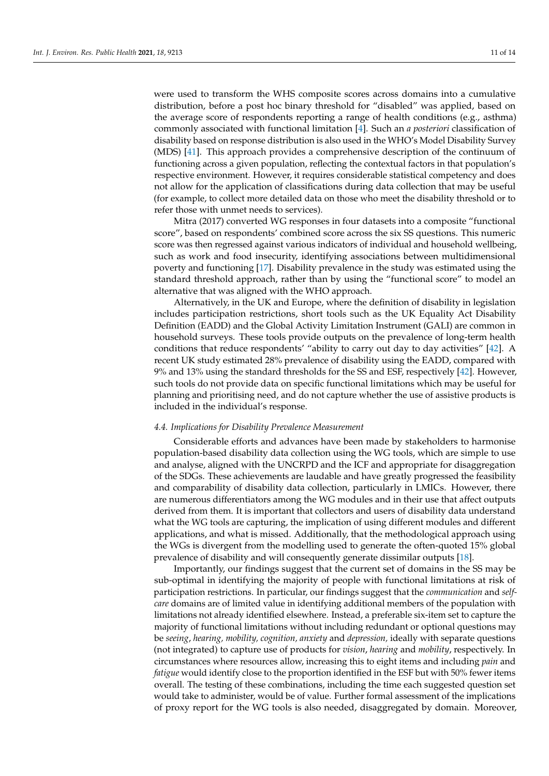were used to transform the WHS composite scores across domains into a cumulative distribution, before a post hoc binary threshold for "disabled" was applied, based on the average score of respondents reporting a range of health conditions (e.g., asthma) commonly associated with functional limitation [\[4\]](#page-12-4). Such an *a posteriori* classification of disability based on response distribution is also used in the WHO's Model Disability Survey (MDS) [\[41\]](#page-13-16). This approach provides a comprehensive description of the continuum of functioning across a given population, reflecting the contextual factors in that population's respective environment. However, it requires considerable statistical competency and does not allow for the application of classifications during data collection that may be useful (for example, to collect more detailed data on those who meet the disability threshold or to

Mitra (2017) converted WG responses in four datasets into a composite "functional score", based on respondents' combined score across the six SS questions. This numeric score was then regressed against various indicators of individual and household wellbeing, such as work and food insecurity, identifying associations between multidimensional poverty and functioning [\[17\]](#page-12-16). Disability prevalence in the study was estimated using the standard threshold approach, rather than by using the "functional score" to model an alternative that was aligned with the WHO approach.

Alternatively, in the UK and Europe, where the definition of disability in legislation includes participation restrictions, short tools such as the UK Equality Act Disability Definition (EADD) and the Global Activity Limitation Instrument (GALI) are common in household surveys. These tools provide outputs on the prevalence of long-term health conditions that reduce respondents' "ability to carry out day to day activities" [\[42\]](#page-13-17). A recent UK study estimated 28% prevalence of disability using the EADD, compared with 9% and 13% using the standard thresholds for the SS and ESF, respectively [\[42\]](#page-13-17). However, such tools do not provide data on specific functional limitations which may be useful for planning and prioritising need, and do not capture whether the use of assistive products is included in the individual's response.

## *4.4. Implications for Disability Prevalence Measurement*

refer those with unmet needs to services).

Considerable efforts and advances have been made by stakeholders to harmonise population-based disability data collection using the WG tools, which are simple to use and analyse, aligned with the UNCRPD and the ICF and appropriate for disaggregation of the SDGs. These achievements are laudable and have greatly progressed the feasibility and comparability of disability data collection, particularly in LMICs. However, there are numerous differentiators among the WG modules and in their use that affect outputs derived from them. It is important that collectors and users of disability data understand what the WG tools are capturing, the implication of using different modules and different applications, and what is missed. Additionally, that the methodological approach using the WGs is divergent from the modelling used to generate the often-quoted 15% global prevalence of disability and will consequently generate dissimilar outputs [\[18\]](#page-12-17).

Importantly, our findings suggest that the current set of domains in the SS may be sub-optimal in identifying the majority of people with functional limitations at risk of participation restrictions. In particular, our findings suggest that the *communication* and *selfcare* domains are of limited value in identifying additional members of the population with limitations not already identified elsewhere. Instead, a preferable six-item set to capture the majority of functional limitations without including redundant or optional questions may be *seeing*, *hearing, mobility, cognition, anxiety* and *depression,* ideally with separate questions (not integrated) to capture use of products for *vision*, *hearing* and *mobility*, respectively. In circumstances where resources allow, increasing this to eight items and including *pain* and *fatigue* would identify close to the proportion identified in the ESF but with 50% fewer items overall. The testing of these combinations, including the time each suggested question set would take to administer, would be of value. Further formal assessment of the implications of proxy report for the WG tools is also needed, disaggregated by domain. Moreover,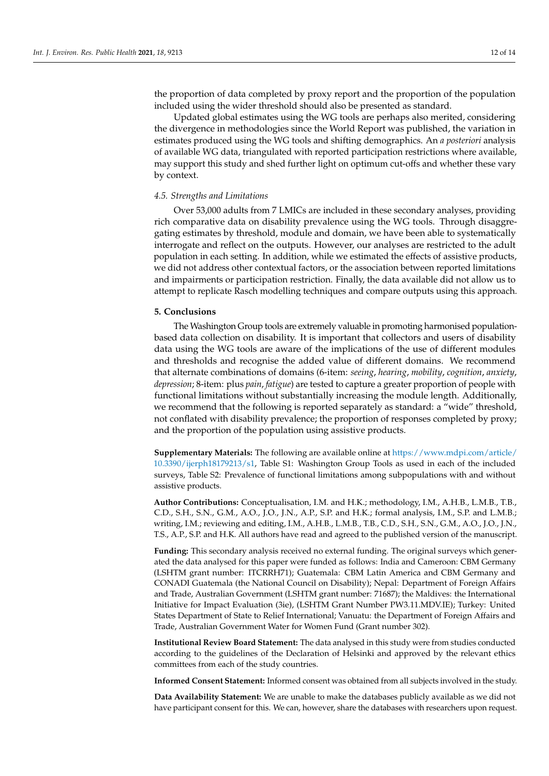the proportion of data completed by proxy report and the proportion of the population included using the wider threshold should also be presented as standard.

Updated global estimates using the WG tools are perhaps also merited, considering the divergence in methodologies since the World Report was published, the variation in estimates produced using the WG tools and shifting demographics. An *a posteriori* analysis of available WG data, triangulated with reported participation restrictions where available, may support this study and shed further light on optimum cut-offs and whether these vary by context.

# *4.5. Strengths and Limitations*

Over 53,000 adults from 7 LMICs are included in these secondary analyses, providing rich comparative data on disability prevalence using the WG tools. Through disaggregating estimates by threshold, module and domain, we have been able to systematically interrogate and reflect on the outputs. However, our analyses are restricted to the adult population in each setting. In addition, while we estimated the effects of assistive products, we did not address other contextual factors, or the association between reported limitations and impairments or participation restriction. Finally, the data available did not allow us to attempt to replicate Rasch modelling techniques and compare outputs using this approach.

#### **5. Conclusions**

The Washington Group tools are extremely valuable in promoting harmonised populationbased data collection on disability. It is important that collectors and users of disability data using the WG tools are aware of the implications of the use of different modules and thresholds and recognise the added value of different domains. We recommend that alternate combinations of domains (6-item: *seeing*, *hearing*, *mobility*, *cognition*, *anxiety*, *depression*; 8-item: plus *pain*, *fatigue*) are tested to capture a greater proportion of people with functional limitations without substantially increasing the module length. Additionally, we recommend that the following is reported separately as standard: a "wide" threshold, not conflated with disability prevalence; the proportion of responses completed by proxy; and the proportion of the population using assistive products.

**Supplementary Materials:** The following are available online at [https://www.mdpi.com/article/](https://www.mdpi.com/article/10.3390/ijerph18179213/s1) [10.3390/ijerph18179213/s1,](https://www.mdpi.com/article/10.3390/ijerph18179213/s1) Table S1: Washington Group Tools as used in each of the included surveys, Table S2: Prevalence of functional limitations among subpopulations with and without assistive products.

**Author Contributions:** Conceptualisation, I.M. and H.K.; methodology, I.M., A.H.B., L.M.B., T.B., C.D., S.H., S.N., G.M., A.O., J.O., J.N., A.P., S.P. and H.K.; formal analysis, I.M., S.P. and L.M.B.; writing, I.M.; reviewing and editing, I.M., A.H.B., L.M.B., T.B., C.D., S.H., S.N., G.M., A.O., J.O., J.N., T.S., A.P., S.P. and H.K. All authors have read and agreed to the published version of the manuscript.

**Funding:** This secondary analysis received no external funding. The original surveys which generated the data analysed for this paper were funded as follows: India and Cameroon: CBM Germany (LSHTM grant number: ITCRRH71); Guatemala: CBM Latin America and CBM Germany and CONADI Guatemala (the National Council on Disability); Nepal: Department of Foreign Affairs and Trade, Australian Government (LSHTM grant number: 71687); the Maldives: the International Initiative for Impact Evaluation (3ie), (LSHTM Grant Number PW3.11.MDV.IE); Turkey: United States Department of State to Relief International; Vanuatu: the Department of Foreign Affairs and Trade, Australian Government Water for Women Fund (Grant number 302).

**Institutional Review Board Statement:** The data analysed in this study were from studies conducted according to the guidelines of the Declaration of Helsinki and approved by the relevant ethics committees from each of the study countries.

**Informed Consent Statement:** Informed consent was obtained from all subjects involved in the study.

**Data Availability Statement:** We are unable to make the databases publicly available as we did not have participant consent for this. We can, however, share the databases with researchers upon request.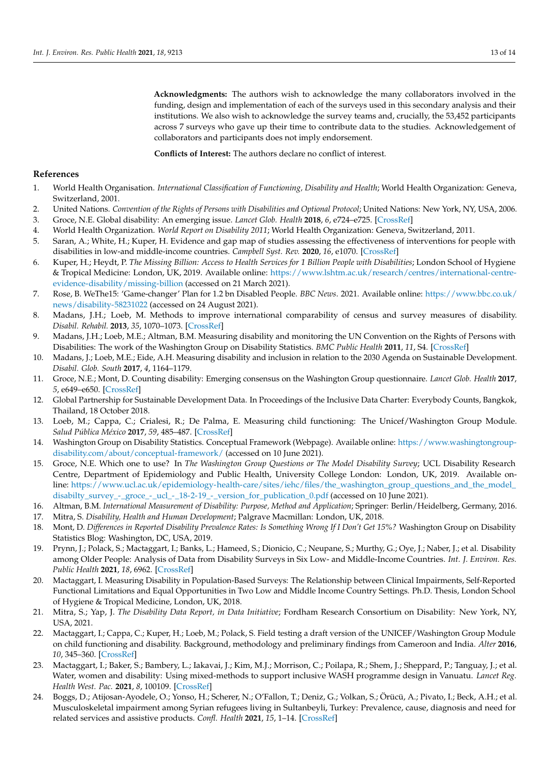**Acknowledgments:** The authors wish to acknowledge the many collaborators involved in the funding, design and implementation of each of the surveys used in this secondary analysis and their institutions. We also wish to acknowledge the survey teams and, crucially, the 53,452 participants across 7 surveys who gave up their time to contribute data to the studies. Acknowledgement of collaborators and participants does not imply endorsement.

**Conflicts of Interest:** The authors declare no conflict of interest.

## **References**

- <span id="page-12-0"></span>1. World Health Organisation. *International Classification of Functioning, Disability and Health*; World Health Organization: Geneva, Switzerland, 2001.
- <span id="page-12-1"></span>2. United Nations. *Convention of the Rights of Persons with Disabilities and Optional Protocol*; United Nations: New York, NY, USA, 2006.
- <span id="page-12-2"></span>3. Groce, N.E. Global disability: An emerging issue. *Lancet Glob. Health* **2018**, *6*, e724–e725. [\[CrossRef\]](http://doi.org/10.1016/S2214-109X(18)30265-1)
- <span id="page-12-4"></span>4. World Health Organization. *World Report on Disability 2011*; World Health Organization: Geneva, Switzerland, 2011.
- <span id="page-12-3"></span>5. Saran, A.; White, H.; Kuper, H. Evidence and gap map of studies assessing the effectiveness of interventions for people with disabilities in low-and middle-income countries. *Campbell Syst. Rev.* **2020**, *16*, e1070. [\[CrossRef\]](http://doi.org/10.1002/cl2.1070)
- <span id="page-12-5"></span>6. Kuper, H.; Heydt, P. *The Missing Billion: Access to Health Services for 1 Billion People with Disabilities*; London School of Hygiene & Tropical Medicine: London, UK, 2019. Available online: [https://www.lshtm.ac.uk/research/centres/international-centre](https://www.lshtm.ac.uk/research/centres/international-centre-evidence-disability/missing-billion)[evidence-disability/missing-billion](https://www.lshtm.ac.uk/research/centres/international-centre-evidence-disability/missing-billion) (accessed on 21 March 2021).
- <span id="page-12-6"></span>7. Rose, B. WeThe15: 'Game-changer' Plan for 1.2 bn Disabled People. *BBC News*. 2021. Available online: [https://www.bbc.co.uk/](https://www.bbc.co.uk/news/disability-58231022) [news/disability-58231022](https://www.bbc.co.uk/news/disability-58231022) (accessed on 24 August 2021).
- <span id="page-12-7"></span>8. Madans, J.H.; Loeb, M. Methods to improve international comparability of census and survey measures of disability. *Disabil. Rehabil.* **2013**, *35*, 1070–1073. [\[CrossRef\]](http://doi.org/10.3109/09638288.2012.720353)
- <span id="page-12-8"></span>9. Madans, J.H.; Loeb, M.E.; Altman, B.M. Measuring disability and monitoring the UN Convention on the Rights of Persons with Disabilities: The work of the Washington Group on Disability Statistics. *BMC Public Health* **2011**, *11*, S4. [\[CrossRef\]](http://doi.org/10.1186/1471-2458-11-S4-S4)
- <span id="page-12-9"></span>10. Madans, J.; Loeb, M.E.; Eide, A.H. Measuring disability and inclusion in relation to the 2030 Agenda on Sustainable Development. *Disabil. Glob. South* **2017**, *4*, 1164–1179.
- <span id="page-12-10"></span>11. Groce, N.E.; Mont, D. Counting disability: Emerging consensus on the Washington Group questionnaire. *Lancet Glob. Health* **2017**, *5*, e649–e650. [\[CrossRef\]](http://doi.org/10.1016/S2214-109X(17)30207-3)
- <span id="page-12-11"></span>12. Global Partnership for Sustainable Development Data. In Proceedings of the Inclusive Data Charter: Everybody Counts, Bangkok, Thailand, 18 October 2018.
- <span id="page-12-12"></span>13. Loeb, M.; Cappa, C.; Crialesi, R.; De Palma, E. Measuring child functioning: The Unicef/Washington Group Module. *Salud Pública México* **2017**, *59*, 485–487. [\[CrossRef\]](http://doi.org/10.21149/8962)
- <span id="page-12-13"></span>14. Washington Group on Disability Statistics. Conceptual Framework (Webpage). Available online: [https://www.washingtongroup](https://www.washingtongroup-disability.com/about/conceptual-framework/)[disability.com/about/conceptual-framework/](https://www.washingtongroup-disability.com/about/conceptual-framework/) (accessed on 10 June 2021).
- <span id="page-12-14"></span>15. Groce, N.E. Which one to use? In *The Washington Group Questions or The Model Disability Survey*; UCL Disability Research Centre, Department of Epidemiology and Public Health, University College London: London, UK, 2019. Available online: [https://www.ucl.ac.uk/epidemiology-health-care/sites/iehc/files/the\\_washington\\_group\\_questions\\_and\\_the\\_model\\_](https://www.ucl.ac.uk/epidemiology-health-care/sites/iehc/files/the_washington_group_questions_and_the_model_disabilty_survey_-_groce_-_ucl_-_18-2-19_-_version_for_publication_0.pdf) [disabilty\\_survey\\_-\\_groce\\_-\\_ucl\\_-\\_18-2-19\\_-\\_version\\_for\\_publication\\_0.pdf](https://www.ucl.ac.uk/epidemiology-health-care/sites/iehc/files/the_washington_group_questions_and_the_model_disabilty_survey_-_groce_-_ucl_-_18-2-19_-_version_for_publication_0.pdf) (accessed on 10 June 2021).
- <span id="page-12-15"></span>16. Altman, B.M. *International Measurement of Disability: Purpose, Method and Application*; Springer: Berlin/Heidelberg, Germany, 2016.
- <span id="page-12-16"></span>17. Mitra, S. *Disability, Health and Human Development*; Palgrave Macmillan: London, UK, 2018.
- <span id="page-12-17"></span>18. Mont, D. *Differences in Reported Disability Prevalence Rates: Is Something Wrong If I Don't Get 15%?* Washington Group on Disability Statistics Blog: Washington, DC, USA, 2019.
- <span id="page-12-18"></span>19. Prynn, J.; Polack, S.; Mactaggart, I.; Banks, L.; Hameed, S.; Dionicio, C.; Neupane, S.; Murthy, G.; Oye, J.; Naber, J.; et al. Disability among Older People: Analysis of Data from Disability Surveys in Six Low- and Middle-Income Countries. *Int. J. Environ. Res. Public Health* **2021**, *18*, 6962. [\[CrossRef\]](http://doi.org/10.3390/ijerph18136962)
- <span id="page-12-19"></span>20. Mactaggart, I. Measuring Disability in Population-Based Surveys: The Relationship between Clinical Impairments, Self-Reported Functional Limitations and Equal Opportunities in Two Low and Middle Income Country Settings. Ph.D. Thesis, London School of Hygiene & Tropical Medicine, London, UK, 2018.
- <span id="page-12-20"></span>21. Mitra, S.; Yap, J. *The Disability Data Report, in Data Initiative*; Fordham Research Consortium on Disability: New York, NY, USA, 2021.
- <span id="page-12-21"></span>22. Mactaggart, I.; Cappa, C.; Kuper, H.; Loeb, M.; Polack, S. Field testing a draft version of the UNICEF/Washington Group Module on child functioning and disability. Background, methodology and preliminary findings from Cameroon and India. *Alter* **2016**, *10*, 345–360. [\[CrossRef\]](http://doi.org/10.1016/j.alter.2016.09.003)
- <span id="page-12-22"></span>23. Mactaggart, I.; Baker, S.; Bambery, L.; Iakavai, J.; Kim, M.J.; Morrison, C.; Poilapa, R.; Shem, J.; Sheppard, P.; Tanguay, J.; et al. Water, women and disability: Using mixed-methods to support inclusive WASH programme design in Vanuatu. *Lancet Reg. Health West. Pac.* **2021**, *8*, 100109. [\[CrossRef\]](http://doi.org/10.1016/j.lanwpc.2021.100109)
- <span id="page-12-23"></span>24. Boggs, D.; Atijosan-Ayodele, O.; Yonso, H.; Scherer, N.; O'Fallon, T.; Deniz, G.; Volkan, S.; Örücü, A.; Pivato, I.; Beck, A.H.; et al. Musculoskeletal impairment among Syrian refugees living in Sultanbeyli, Turkey: Prevalence, cause, diagnosis and need for related services and assistive products. *Confl. Health* **2021**, *15*, 1–14. [\[CrossRef\]](http://doi.org/10.1186/s13031-021-00362-9)